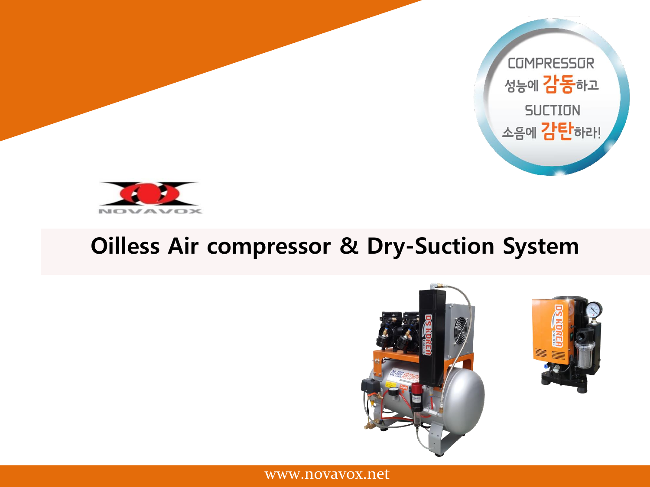



# **Oilless Air compressor & Dry-Suction System**



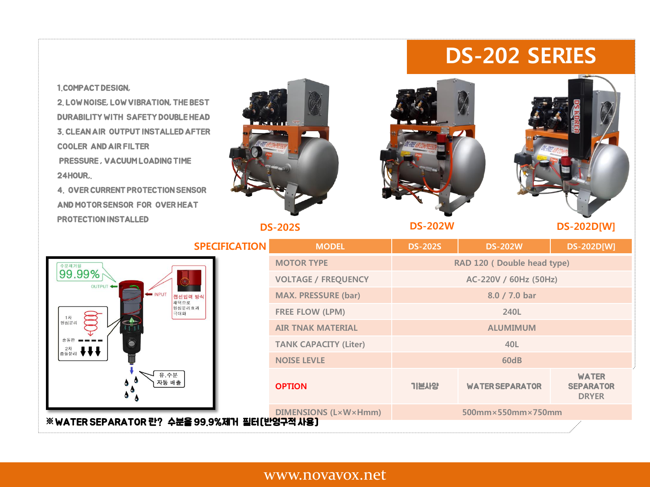# **DS-202 SERIES**

#### 2. LOW NOISE, LOW VIBRATION, THE BEST DURABILITY WITH SAFETY DOUBLE HEAD 3. CLEAN AIR OUTPUT INSTALLED AFTER COOLER AND AIR FILTER PRESSURE , VACUUM LOADING TIME 24HOUR,. 4. OVER CURRENT PROTECTION SENSOR AND MOTOR SENSOR FOR OVER HEAT PROTECTION INSTALLED**DS-202W DS-202D[W] DS-202S SPECIFICATION MODEL DS-202S DS-202W DS-202D[W] MOTOR TYPE RAD 120 ( Double head type)** <sup><sup><sup>\*</sup>\*\*\*\*</sup></sup> **VOLTAGE / FREQUENCY AC-220V / 60Hz (50Hz)** OUTPUT INPUT **MAX. PRESSURE (bar) 8.0 / 7.0 bar** 접선입력 방 채택으로 원심분리효과 **FREE FLOW (LPM) 240L**  극대화  $1\overline{X}$ 원심분리 **AIR TNAK MATERIAL ALUMIMUM TANK CAPACITY (Liter) 40L** 2차 ♥♥♥ **NOISE LEVLE 60dB** 유.수분<br>자동 배출 **WATER OPTION** 기본사양 WATER SEPARATOR **SEPARATOR DRYER**

1.COMPACT DESIGN,

**DIMENSIONS (L×W×Hmm) 500mm×550mm×750mm** ※WATER SEPARATOR 란? 수분을 99.9%제거 필터[반영구적 사용]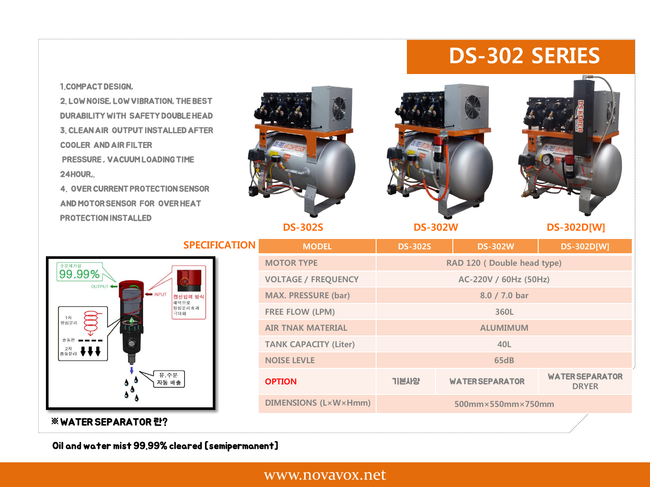# **DS-302 SERIES**

#### 1.COMPACT DESIGN,

2. LOW NOISE, LOW VIBRATION, THE BEST DURABILITY WITH SAFETY DOUBLE HEAD 3. CLEAN AIR OUTPUT INSTALLED AFTER COOLER AND AIR FILTER PRESSURE , VACUUM LOADING TIME 24HOUR,.

4. OVER CURRENT PROTECTION SENSOR AND MOTOR SENSOR FOR OVER HEAT PROTECTION INSTALLED



**DS-302S**





**DS-302D[W]**

| <b>SPECIFICATION</b>                                                                                                            | <b>MODEL</b>                 | <b>DS-302S</b>                         | <b>DS-302W</b>         | <b>DS-302D[W]</b>                      |
|---------------------------------------------------------------------------------------------------------------------------------|------------------------------|----------------------------------------|------------------------|----------------------------------------|
| 수분제거율<br>99.99%<br>OUTPUT <<br><b>INPUT</b><br>접선입력 방식<br>채택으로<br>원심분리효과<br>극대화<br>1차<br>원심분리<br>총돌분리 ♥♥♥<br>유.수분<br>자동 배출<br>۰ | <b>MOTOR TYPE</b>            | RAD 120 (Double head type)             |                        |                                        |
|                                                                                                                                 | <b>VOLTAGE / FREQUENCY</b>   | AC-220V / 60Hz (50Hz)                  |                        |                                        |
|                                                                                                                                 | <b>MAX. PRESSURE (bar)</b>   |                                        | 8.0 / 7.0 bar          |                                        |
|                                                                                                                                 | <b>FREE FLOW (LPM)</b>       |                                        | 360L                   |                                        |
|                                                                                                                                 | <b>AIR TNAK MATERIAL</b>     | <b>ALUMIMUM</b>                        |                        |                                        |
|                                                                                                                                 | <b>TANK CAPACITY (Liter)</b> |                                        | 40L                    |                                        |
|                                                                                                                                 | <b>NOISE LEVLE</b>           |                                        | <b>65dB</b>            |                                        |
|                                                                                                                                 | <b>OPTION</b>                | 기본사양                                   | <b>WATER SEPARATOR</b> | <b>WATER SEPARATOR</b><br><b>DRYER</b> |
|                                                                                                                                 | <b>DIMENSIONS (L×W×Hmm)</b>  | $500$ mm $\times$ 550mm $\times$ 750mm |                        |                                        |
| ※ WATER SEPARATOR 란?                                                                                                            |                              |                                        |                        |                                        |

Oil and water mist 99.99% cleared [semipermanent]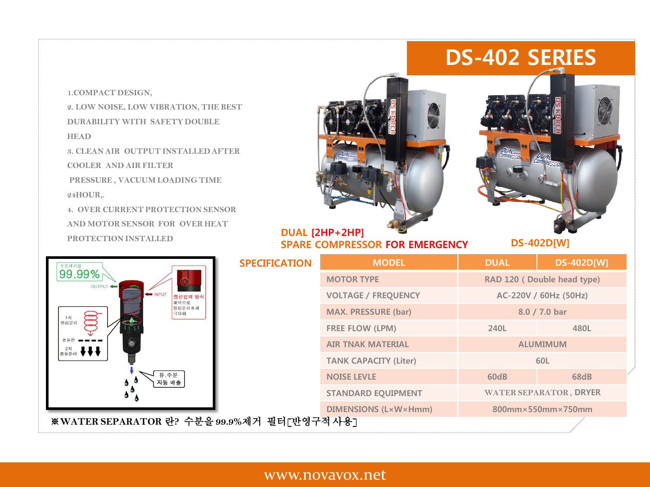# **DS-402 SERIES**

**1.COMPACT DESIGN, 2. LOW NOISE, LOW VIBRATION, THE BEST DURABILITY WITH SAFETY DOUBLE HEAD 3. CLEAN AIR OUTPUT INSTALLED AFTER COOLER AND AIR FILTER PRESSURE , VACUUM LOADING TIME 24HOUR,. 4. OVER CURRENT PROTECTION SENSOR AND MOTOR SENSOR FOR OVER HEAT PROTECTION INSTALLED**



# **DUAL [2HP+2HP] SPARE COMPRESSOR FOR EMERGENCY**

**DS-402D[W]**

| 수분제거율<br>99.99%<br>OUTPUT<br>NPUT<br>접선입력 방식<br>채택으로<br>원심분리효과<br>극대화<br>원심분리<br>유.수분<br>자동 배출<br>$\bullet$ | <b>SPECIFICATION</b>        | <b>MODEL</b>                 | <b>DUAL</b>                | <b>DS-402D[W]</b>             |
|-------------------------------------------------------------------------------------------------------------|-----------------------------|------------------------------|----------------------------|-------------------------------|
|                                                                                                             |                             | <b>MOTOR TYPE</b>            | RAD 120 (Double head type) |                               |
|                                                                                                             |                             | <b>VOLTAGE / FREQUENCY</b>   | AC-220V / 60Hz (50Hz)      |                               |
|                                                                                                             |                             | <b>MAX. PRESSURE (bar)</b>   | 8.0 / 7.0 bar              |                               |
|                                                                                                             |                             | <b>FREE FLOW (LPM)</b>       | 240L                       | 480L                          |
|                                                                                                             |                             | <b>AIR TNAK MATERIAL</b>     | <b>ALUMIMUM</b>            |                               |
|                                                                                                             |                             | <b>TANK CAPACITY (Liter)</b> | 60L                        |                               |
|                                                                                                             |                             | <b>NOISE LEVLE</b>           | 60dB                       | <b>68dB</b>                   |
|                                                                                                             |                             | <b>STANDARD EQUIPMENT</b>    |                            | <b>WATER SEPARATOR, DRYER</b> |
|                                                                                                             | <b>DIMENSIONS (L×W×Hmm)</b> |                              | $800$ mm×550mm×750mm       |                               |
| ※WATER SEPARATOR 란? 수분을 99.9%제거 필터[반영구적사용]                                                                  |                             |                              |                            |                               |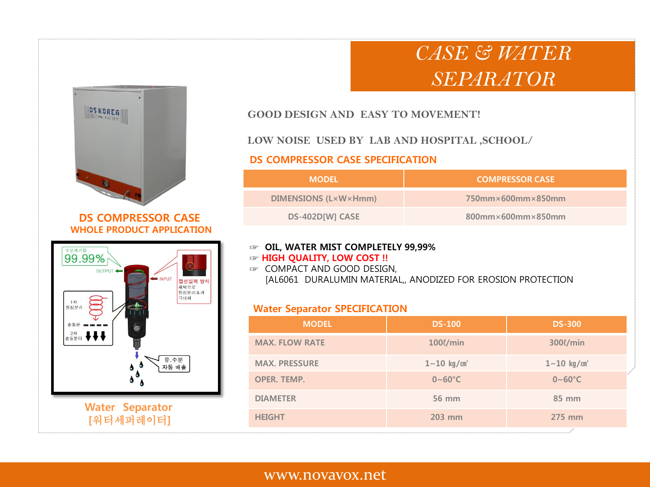# *CASE & WATER SEPARATOR*



### **DS COMPRESSOR CASE WHOLE PRODUCT APPLICATION**



### **GOOD DESIGN AND EASY TO MOVEMENT!**

### **LOW NOISE USED BY LAB AND HOSPITAL ,SCHOOL/**

### **DS COMPRESSOR CASE SPECIFICATION**

| <b>MODEL</b>         | <b>COMPRESSOR CASE</b>                 |
|----------------------|----------------------------------------|
| DIMENSIONS (L×W×Hmm) | $750$ mm $\times$ 600mm $\times$ 850mm |
| DS-402D[W] CASE      | $800$ mm×600mm×850mm                   |

### **☞ OIL, WATER MIST COMPLETELY 99,99%**

#### **☞ HIGH QUALITY, LOW COST !!**

**☞** COMPACT AND GOOD DESIGN, [AL6061 DURALUMIN MATERIAL,, ANODIZED FOR EROSION PROTECTION

### **Water Separator SPECIFICATION**

| <b>MODEL</b>          | <b>DS-100</b>               | <b>DS-300</b>               |
|-----------------------|-----------------------------|-----------------------------|
| <b>MAX. FLOW RATE</b> | 100l/min                    | 300l/min                    |
| <b>MAX. PRESSURE</b>  | $1 - 10$ kg/cm <sup>2</sup> | $1 - 10$ kg/cm <sup>2</sup> |
| <b>OPER. TEMP.</b>    | $0~60^{\circ}$ C            | $0~60^{\circ}$ C            |
| <b>DIAMETER</b>       | 56 mm                       | 85 mm                       |
| <b>HEIGHT</b>         | 203 mm                      | 275 mm                      |
|                       |                             |                             |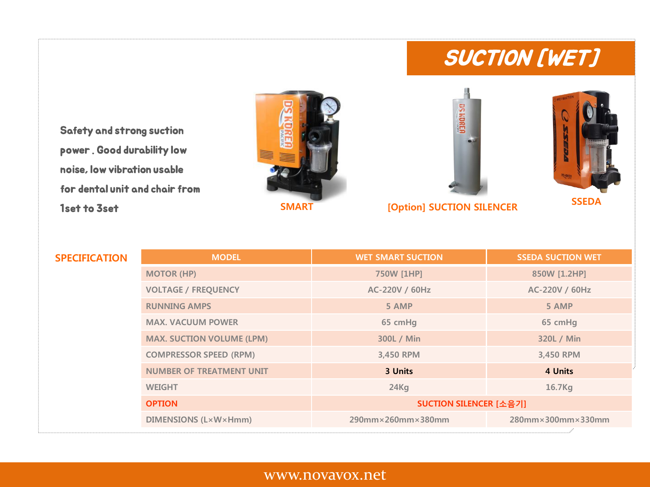# SUCTION [WET]

Safety and strong suction power . Good durability low noise, low vibration usable for dental unit and chair from 1set to 3set **SMART [Option] SUCTION SILENCER**





**SSEDA**

**MODEL WET SMART SUCTION SSEDA SUCTION WET MOTOR (HP) 750W [1HP] 850W [1.2HP] VOLTAGE / FREQUENCY AC-220V / 60Hz AC-220V / 60Hz RUNNING AMPS 5 AMP 5 AMP MAX. VACUUM POWER 65 cmHg 65 cmHg MAX. SUCTION VOLUME (LPM) 300L / Min 320L / Min COMPRESSOR SPEED (RPM) 3,450 RPM 3,450 RPM NUMBER OF TREATMENT UNIT 3 Units 4 Units WEIGHT 24Kg 16.7Kg OPTION SUCTION SILENCER [소음기] DIMENSIONS (L×W×Hmm) 290mm×260mm×380mm 280mm×300mm×330mm SPECIFICATION**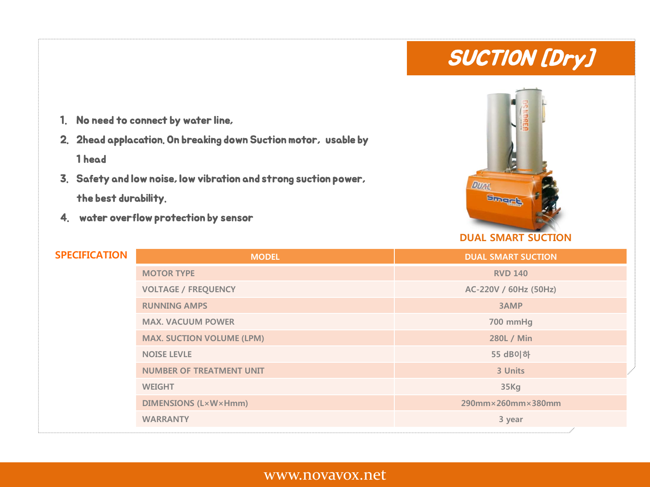# SUCTION [Dry]

- 1. No need to connect by water line,
- 2. 2head applacation. On breaking down Suction motor, usable by 1 head
- 3. Safety and low noise, low vibration and strong suction power, the best durability.
- 4. water overflow protection by sensor



# **DUAL SMART SUCTION**

| <b>SPECIFICATION</b> | <b>MODEL</b>                     | <b>DUAL SMART SUCTION</b> |
|----------------------|----------------------------------|---------------------------|
|                      | <b>MOTOR TYPE</b>                | <b>RVD 140</b>            |
|                      | <b>VOLTAGE / FREQUENCY</b>       | AC-220V / 60Hz (50Hz)     |
|                      | <b>RUNNING AMPS</b>              | 3AMP                      |
|                      | <b>MAX. VACUUM POWER</b>         | 700 mmHg                  |
|                      | <b>MAX. SUCTION VOLUME (LPM)</b> | 280L / Min                |
|                      | <b>NOISE LEVLE</b>               | 55 dB이하                   |
|                      | <b>NUMBER OF TREATMENT UNIT</b>  | 3 Units                   |
|                      | <b>WEIGHT</b>                    | 35Kg                      |
|                      | <b>DIMENSIONS (L×W×Hmm)</b>      | $290$ mm×260mm×380mm      |
|                      | <b>WARRANTY</b>                  | 3 year                    |
|                      |                                  |                           |